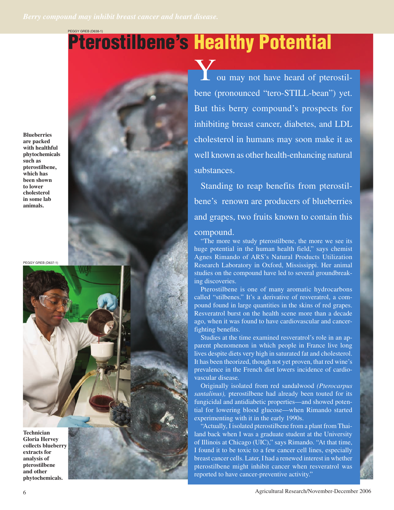PEGGY GREB (D638-1)

# **Pterostilbene's Healthy Potential**

**Blueberries are packed with healthful phytochemicals such as pterostilbene, which has been shown to lower cholesterol in some lab animals.**

PEGGY GREB (D637-1)

**Technician Gloria Hervey collects blueberry extracts for analysis of pterostilbene and other phytochemicals.**

ou may not have heard of pterostilbene (pronounced "tero-STILL-bean") yet. But this berry compound's prospects for inhibiting breast cancer, diabetes, and LDL cholesterol in humans may soon make it as well known as other health-enhancing natural substances.

Standing to reap benefits from pterostilbene's renown are producers of blueberries and grapes, two fruits known to contain this

# compound.

"The more we study pterostilbene, the more we see its huge potential in the human health field," says chemist Agnes Rimando of ARS's Natural Products Utilization Research Laboratory in Oxford, Mississippi. Her animal studies on the compound have led to several groundbreaking discoveries.

Pterostilbene is one of many aromatic hydrocarbons called "stilbenes." It's a derivative of resveratrol, a compound found in large quantities in the skins of red grapes. Resveratrol burst on the health scene more than a decade ago, when it was found to have cardiovascular and cancerfighting benefits.

Studies at the time examined resveratrol's role in an apparent phenomenon in which people in France live long lives despite diets very high in saturated fat and cholesterol. It has been theorized, though not yet proven, that red wine's prevalence in the French diet lowers incidence of cardiovascular disease.

Originally isolated from red sandalwood *(Pterocarpus santalinus),* pterostilbene had already been touted for its fungicidal and antidiabetic properties—and showed potential for lowering blood glucose—when Rimando started experimenting with it in the early 1990s.

"Actually, I isolated pterostilbene from a plant from Thailand back when I was a graduate student at the University of Illinois at Chicago (UIC)," says Rimando. "At that time, I found it to be toxic to a few cancer cell lines, especially breast cancer cells. Later, I had a renewed interest in whether pterostilbene might inhibit cancer when resveratrol was reported to have cancer-preventive activity."